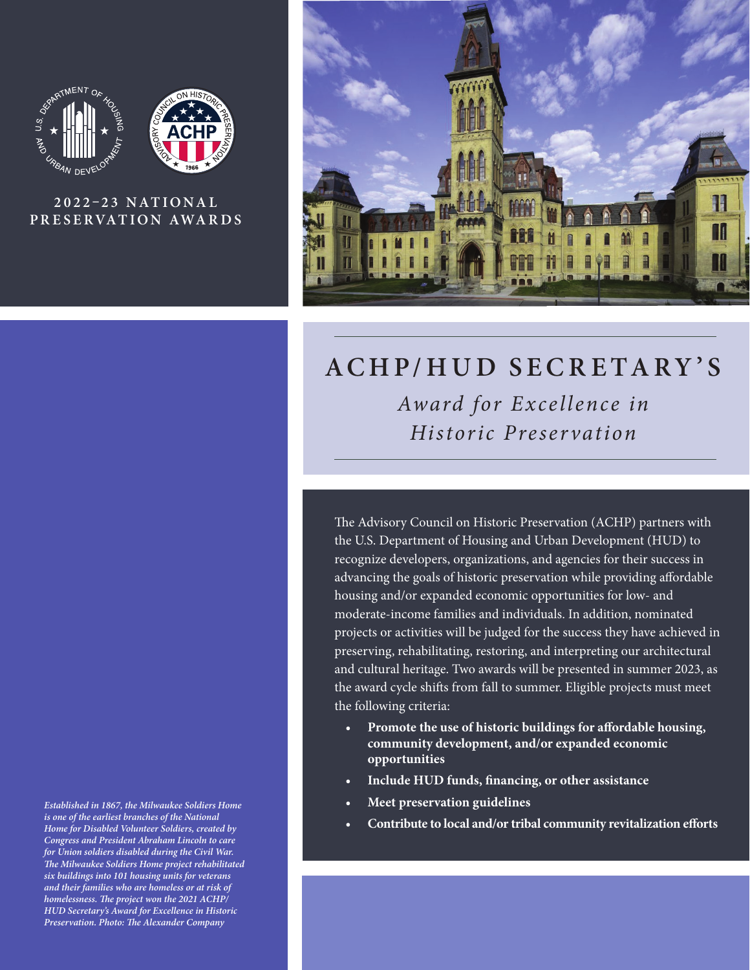



## **2 0 2 2 –2 3 N AT I O N A L PR E SE RVAT ION AWA R DS**

*Established in 1867, the Milwaukee Soldiers Home is one of the earliest branches of the National Home for Disabled Volunteer Soldiers, created by Congress and President Abraham Lincoln to care for Union soldiers disabled during the Civil War. The Milwaukee Soldiers Home project rehabilitated six buildings into 101 housing units for veterans and their families who are homeless or at risk of homelessness. The project won the 2021 ACHP/ HUD Secretary's Award for Excellence in Historic Preservation. Photo: The Alexander Company* 



# **ACHP/HUD SECRETARY'S** *Award for Excellence in Historic Preservation*

The Advisory Council on Historic Preservation (ACHP) partners with the U.S. Department of Housing and Urban Development (HUD) to recognize developers, organizations, and agencies for their success in advancing the goals of historic preservation while providing affordable housing and/or expanded economic opportunities for low- and moderate-income families and individuals. In addition, nominated projects or activities will be judged for the success they have achieved in preserving, rehabilitating, restoring, and interpreting our architectural and cultural heritage. Two awards will be presented in summer 2023, as the award cycle shifts from fall to summer. Eligible projects must meet the following criteria:

- **• Promote the use of historic buildings for affordable housing, community development, and/or expanded economic opportunities**
- **• Include HUD funds, financing, or other assistance**
- **• Meet preservation guidelines**
- **• Contribute to local and/or tribal community revitalization efforts**